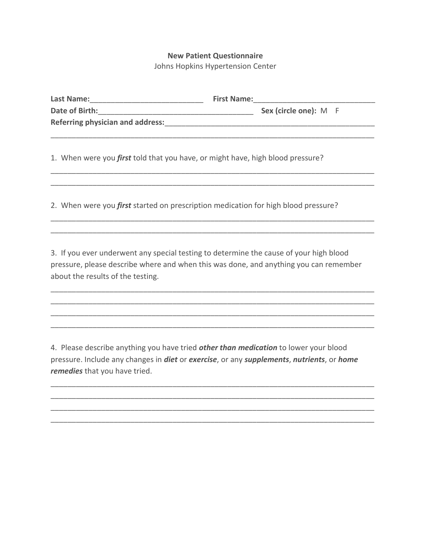## **New Patient Questionnaire**

Johns Hopkins Hypertension Center

| Last Name:                              | <b>First Name:</b> |                       |  |
|-----------------------------------------|--------------------|-----------------------|--|
| Date of Birth:                          |                    | Sex (circle one): M F |  |
| <b>Referring physician and address:</b> |                    |                       |  |
|                                         |                    |                       |  |

\_\_\_\_\_\_\_\_\_\_\_\_\_\_\_\_\_\_\_\_\_\_\_\_\_\_\_\_\_\_\_\_\_\_\_\_\_\_\_\_\_\_\_\_\_\_\_\_\_\_\_\_\_\_\_\_\_\_\_\_\_\_\_\_\_\_\_\_\_\_\_\_\_\_\_\_\_ \_\_\_\_\_\_\_\_\_\_\_\_\_\_\_\_\_\_\_\_\_\_\_\_\_\_\_\_\_\_\_\_\_\_\_\_\_\_\_\_\_\_\_\_\_\_\_\_\_\_\_\_\_\_\_\_\_\_\_\_\_\_\_\_\_\_\_\_\_\_\_\_\_\_\_\_\_

\_\_\_\_\_\_\_\_\_\_\_\_\_\_\_\_\_\_\_\_\_\_\_\_\_\_\_\_\_\_\_\_\_\_\_\_\_\_\_\_\_\_\_\_\_\_\_\_\_\_\_\_\_\_\_\_\_\_\_\_\_\_\_\_\_\_\_\_\_\_\_\_\_\_\_\_\_ \_\_\_\_\_\_\_\_\_\_\_\_\_\_\_\_\_\_\_\_\_\_\_\_\_\_\_\_\_\_\_\_\_\_\_\_\_\_\_\_\_\_\_\_\_\_\_\_\_\_\_\_\_\_\_\_\_\_\_\_\_\_\_\_\_\_\_\_\_\_\_\_\_\_\_\_\_

1. When were you *first* told that you have, or might have, high blood pressure?

2. When were you *first* started on prescription medication for high blood pressure?

3. If you ever underwent any special testing to determine the cause of your high blood pressure, please describe where and when this was done, and anything you can remember about the results of the testing.

\_\_\_\_\_\_\_\_\_\_\_\_\_\_\_\_\_\_\_\_\_\_\_\_\_\_\_\_\_\_\_\_\_\_\_\_\_\_\_\_\_\_\_\_\_\_\_\_\_\_\_\_\_\_\_\_\_\_\_\_\_\_\_\_\_\_\_\_\_\_\_\_\_\_\_\_\_ \_\_\_\_\_\_\_\_\_\_\_\_\_\_\_\_\_\_\_\_\_\_\_\_\_\_\_\_\_\_\_\_\_\_\_\_\_\_\_\_\_\_\_\_\_\_\_\_\_\_\_\_\_\_\_\_\_\_\_\_\_\_\_\_\_\_\_\_\_\_\_\_\_\_\_\_\_ \_\_\_\_\_\_\_\_\_\_\_\_\_\_\_\_\_\_\_\_\_\_\_\_\_\_\_\_\_\_\_\_\_\_\_\_\_\_\_\_\_\_\_\_\_\_\_\_\_\_\_\_\_\_\_\_\_\_\_\_\_\_\_\_\_\_\_\_\_\_\_\_\_\_\_\_\_ \_\_\_\_\_\_\_\_\_\_\_\_\_\_\_\_\_\_\_\_\_\_\_\_\_\_\_\_\_\_\_\_\_\_\_\_\_\_\_\_\_\_\_\_\_\_\_\_\_\_\_\_\_\_\_\_\_\_\_\_\_\_\_\_\_\_\_\_\_\_\_\_\_\_\_\_\_

4. Please describe anything you have tried *other than medication* to lower your blood pressure. Include any changes in *diet* or *exercise*, or any *supplements*, *nutrients*, or *home remedies* that you have tried.

\_\_\_\_\_\_\_\_\_\_\_\_\_\_\_\_\_\_\_\_\_\_\_\_\_\_\_\_\_\_\_\_\_\_\_\_\_\_\_\_\_\_\_\_\_\_\_\_\_\_\_\_\_\_\_\_\_\_\_\_\_\_\_\_\_\_\_\_\_\_\_\_\_\_\_\_\_ \_\_\_\_\_\_\_\_\_\_\_\_\_\_\_\_\_\_\_\_\_\_\_\_\_\_\_\_\_\_\_\_\_\_\_\_\_\_\_\_\_\_\_\_\_\_\_\_\_\_\_\_\_\_\_\_\_\_\_\_\_\_\_\_\_\_\_\_\_\_\_\_\_\_\_\_\_ \_\_\_\_\_\_\_\_\_\_\_\_\_\_\_\_\_\_\_\_\_\_\_\_\_\_\_\_\_\_\_\_\_\_\_\_\_\_\_\_\_\_\_\_\_\_\_\_\_\_\_\_\_\_\_\_\_\_\_\_\_\_\_\_\_\_\_\_\_\_\_\_\_\_\_\_\_ \_\_\_\_\_\_\_\_\_\_\_\_\_\_\_\_\_\_\_\_\_\_\_\_\_\_\_\_\_\_\_\_\_\_\_\_\_\_\_\_\_\_\_\_\_\_\_\_\_\_\_\_\_\_\_\_\_\_\_\_\_\_\_\_\_\_\_\_\_\_\_\_\_\_\_\_\_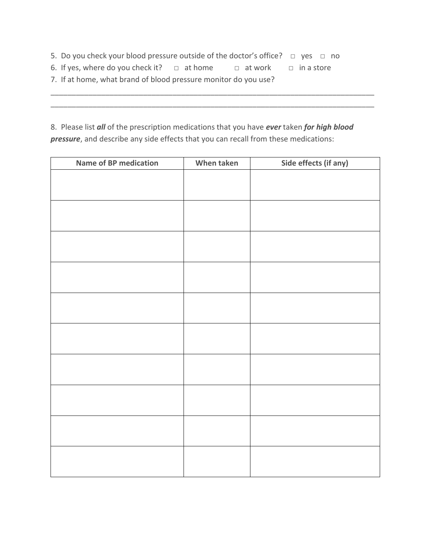- 5. Do you check your blood pressure outside of the doctor's office? □ yes □ no
- 6. If yes, where do you check it?  $\Box$  at home  $\Box$  at work  $\Box$  in a store
- 7. If at home, what brand of blood pressure monitor do you use?

8. Please list *all* of the prescription medications that you have *ever* taken *for high blood pressure*, and describe any side effects that you can recall from these medications:

\_\_\_\_\_\_\_\_\_\_\_\_\_\_\_\_\_\_\_\_\_\_\_\_\_\_\_\_\_\_\_\_\_\_\_\_\_\_\_\_\_\_\_\_\_\_\_\_\_\_\_\_\_\_\_\_\_\_\_\_\_\_\_\_\_\_\_\_\_\_\_\_\_\_\_\_\_ \_\_\_\_\_\_\_\_\_\_\_\_\_\_\_\_\_\_\_\_\_\_\_\_\_\_\_\_\_\_\_\_\_\_\_\_\_\_\_\_\_\_\_\_\_\_\_\_\_\_\_\_\_\_\_\_\_\_\_\_\_\_\_\_\_\_\_\_\_\_\_\_\_\_\_\_\_

| Name of BP medication | When taken | Side effects (if any) |
|-----------------------|------------|-----------------------|
|                       |            |                       |
|                       |            |                       |
|                       |            |                       |
|                       |            |                       |
|                       |            |                       |
|                       |            |                       |
|                       |            |                       |
|                       |            |                       |
|                       |            |                       |
|                       |            |                       |
|                       |            |                       |
|                       |            |                       |
|                       |            |                       |
|                       |            |                       |
|                       |            |                       |
|                       |            |                       |
|                       |            |                       |
|                       |            |                       |
|                       |            |                       |
|                       |            |                       |
|                       |            |                       |
|                       |            |                       |
|                       |            |                       |
|                       |            |                       |